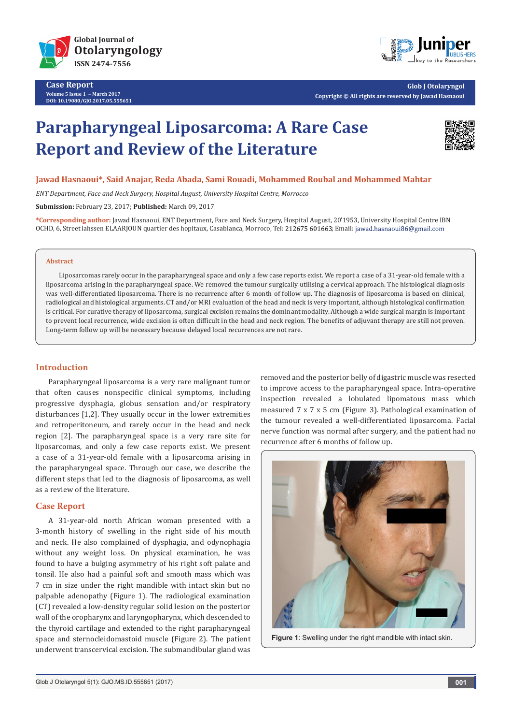

**Case Report Volume 5 Issue 1** - **March 2017 DOI: [10.19080/GJO.2017.05.555651](http://dx.doi.org/10.19080/GJO.2017.05.555651
)**



**Glob J Otolaryngol Copyright © All rights are reserved by Jawad Hasnaoui**

# **Parapharyngeal Liposarcoma: A Rare Case Report and Review of the Literature**



# **Jawad Hasnaoui\*, Said Anajar, Reda Abada, Sami Rouadi, Mohammed Roubal and Mohammed Mahtar**

*ENT Department, Face and Neck Surgery, Hospital August, University Hospital Centre, Morrocco*

**Submission:** February 23, 2017; **Published:** March 09, 2017

**\*Corresponding author:** Jawad Hasnaoui, ENT Department, Face and Neck Surgery, Hospital August, 20'1953, University Hospital Centre IBN OCHD, 6, Street lahssen ELAARJOUN quartier des hopitaux, Casablanca, Morroco, Tel: 212675 601663; Email: jawad.hasnaoui86@gmail.com

#### **Abstract**

Liposarcomas rarely occur in the parapharyngeal space and only a few case reports exist. We report a case of a 31-year-old female with a liposarcoma arising in the parapharyngeal space. We removed the tumour surgically utilising a cervical approach. The histological diagnosis was well-differentiated liposarcoma. There is no recurrence after 6 month of follow up. The diagnosis of liposarcoma is based on clinical, radiological and histological arguments. CT and/or MRI evaluation of the head and neck is very important, although histological confirmation is critical. For curative therapy of liposarcoma, surgical excision remains the dominant modality. Although a wide surgical margin is important to prevent local recurrence, wide excision is often difficult in the head and neck region. The benefits of adjuvant therapy are still not proven. Long-term follow up will be necessary because delayed local recurrences are not rare.

# **Introduction**

Parapharyngeal liposarcoma is a very rare malignant tumor that often causes nonspecific clinical symptoms, including progressive dysphagia, globus sensation and/or respiratory disturbances [1,2]. They usually occur in the lower extremities and retroperitoneum, and rarely occur in the head and neck region [2]. The parapharyngeal space is a very rare site for liposarcomas, and only a few case reports exist. We present a case of a 31-year-old female with a liposarcoma arising in the parapharyngeal space. Through our case, we describe the different steps that led to the diagnosis of liposarcoma, as well as a review of the literature.

# **Case Report**

A 31-year-old north African woman presented with a 3-month history of swelling in the right side of his mouth and neck. He also complained of dysphagia, and odynophagia without any weight loss. On physical examination, he was found to have a bulging asymmetry of his right soft palate and tonsil. He also had a painful soft and smooth mass which was 7 cm in size under the right mandible with intact skin but no palpable adenopathy (Figure 1). The radiological examination (CT) revealed a low-density regular solid lesion on the posterior wall of the oropharynx and laryngopharynx, which descended to the thyroid cartilage and extended to the right parapharyngeal space and sternocleidomastoid muscle (Figure 2). The patient underwent transcervical excision. The submandibular gland was

removed and the posterior belly of digastric muscle was resected to improve access to the parapharyngeal space. Intra-operative inspection revealed a lobulated lipomatous mass which measured 7 x 7 x 5 cm (Figure 3). Pathological examination of the tumour revealed a well-differentiated liposarcoma. Facial nerve function was normal after surgery, and the patient had no recurrence after 6 months of follow up.



**Figure 1**: Swelling under the right mandible with intact skin.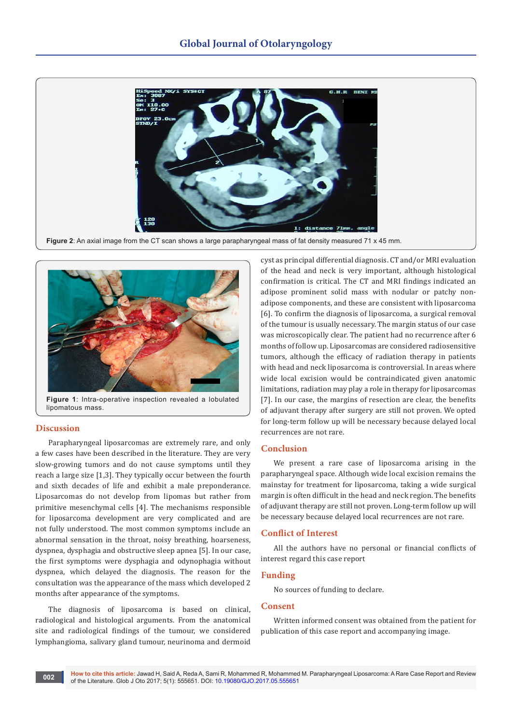

**Figure 2**: An axial image from the CT scan shows a large parapharyngeal mass of fat density measured 71 x 45 mm.



**Figure 1**: Intra-operative inspection revealed a lobulated lipomatous mass.

## **Discussion**

Parapharyngeal liposarcomas are extremely rare, and only a few cases have been described in the literature. They are very slow-growing tumors and do not cause symptoms until they reach a large size [1,3]. They typically occur between the fourth and sixth decades of life and exhibit a male preponderance. Liposarcomas do not develop from lipomas but rather from primitive mesenchymal cells [4]. The mechanisms responsible for liposarcoma development are very complicated and are not fully understood. The most common symptoms include an abnormal sensation in the throat, noisy breathing, hoarseness, dyspnea, dysphagia and obstructive sleep apnea [5]. In our case, the first symptoms were dysphagia and odynophagia without dyspnea, which delayed the diagnosis. The reason for the consultation was the appearance of the mass which developed 2 months after appearance of the symptoms.

The diagnosis of liposarcoma is based on clinical, radiological and histological arguments. From the anatomical site and radiological findings of the tumour, we considered lymphangioma, salivary gland tumour, neurinoma and dermoid

cyst as principal differential diagnosis. CT and/or MRI evaluation of the head and neck is very important, although histological confirmation is critical. The CT and MRI findings indicated an adipose prominent solid mass with nodular or patchy nonadipose components, and these are consistent with liposarcoma [6]. To confirm the diagnosis of liposarcoma, a surgical removal of the tumour is usually necessary. The margin status of our case was microscopically clear. The patient had no recurrence after 6 months of follow up. Liposarcomas are considered radiosensitive tumors, although the efficacy of radiation therapy in patients with head and neck liposarcoma is controversial. In areas where wide local excision would be contraindicated given anatomic limitations, radiation may play a role in therapy for liposarcomas [7]. In our case, the margins of resection are clear, the benefits of adjuvant therapy after surgery are still not proven. We opted for long-term follow up will be necessary because delayed local recurrences are not rare.

#### **Conclusion**

We present a rare case of liposarcoma arising in the parapharyngeal space. Although wide local excision remains the mainstay for treatment for liposarcoma, taking a wide surgical margin is often difficult in the head and neck region. The benefits of adjuvant therapy are still not proven. Long-term follow up will be necessary because delayed local recurrences are not rare.

#### **Conflict of Interest**

All the authors have no personal or financial conflicts of interest regard this case report

#### **Funding**

No sources of funding to declare.

## **Consent**

Written informed consent was obtained from the patient for publication of this case report and accompanying image.